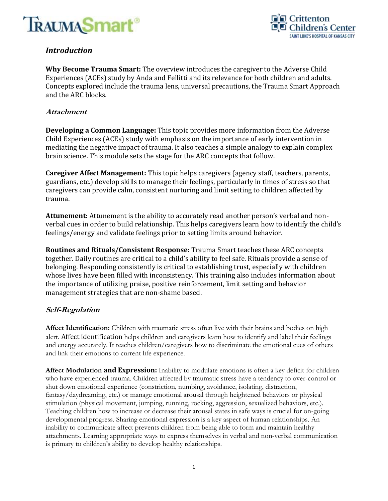



## *Introduction*

**Why Become Trauma Smart:** The overview introduces the caregiver to the Adverse Child Experiences (ACEs) study by Anda and Fellitti and its relevance for both children and adults. Concepts explored include the trauma lens, universal precautions, the Trauma Smart Approach and the ARC blocks.

#### **Attachment**

**Developing a Common Language:** This topic provides more information from the Adverse Child Experiences (ACEs) study with emphasis on the importance of early intervention in mediating the negative impact of trauma. It also teaches a simple analogy to explain complex brain science. This module sets the stage for the ARC concepts that follow.

**Caregiver Affect Management:** This topic helps caregivers (agency staff, teachers, parents, guardians, etc.) develop skills to manage their feelings, particularly in times of stress so that caregivers can provide calm, consistent nurturing and limit setting to children affected by trauma.

**Attunement:** Attunement is the ability to accurately read another person's verbal and nonverbal cues in order to build relationship. This helps caregivers learn how to identify the child's feelings/energy and validate feelings prior to setting limits around behavior.

**Routines and Rituals/Consistent Response:** Trauma Smart teaches these ARC concepts together. Daily routines are critical to a child's ability to feel safe. Rituals provide a sense of belonging. Responding consistently is critical to establishing trust, especially with children whose lives have been filled with inconsistency. This training also includes information about the importance of utilizing praise, positive reinforcement, limit setting and behavior management strategies that are non-shame based.

### **Self-Regulation**

**Affect Identification:** Children with traumatic stress often live with their brains and bodies on high alert. Affect identification helps children and caregivers learn how to identify and label their feelings and energy accurately. It teaches children/caregivers how to discriminate the emotional cues of others and link their emotions to current life experience.

**Affect Modulation and Expression:** Inability to modulate emotions is often a key deficit for children who have experienced trauma. Children affected by traumatic stress have a tendency to over-control or shut down emotional experience (constriction, numbing, avoidance, isolating, distraction, fantasy/daydreaming, etc.) or manage emotional arousal through heightened behaviors or physical stimulation (physical movement, jumping, running, rocking, aggression, sexualized behaviors, etc.). Teaching children how to increase or decrease their arousal states in safe ways is crucial for on-going developmental progress. Sharing emotional expression is a key aspect of human relationships. An inability to communicate affect prevents children from being able to form and maintain healthy attachments. Learning appropriate ways to express themselves in verbal and non-verbal communication is primary to children's ability to develop healthy relationships.